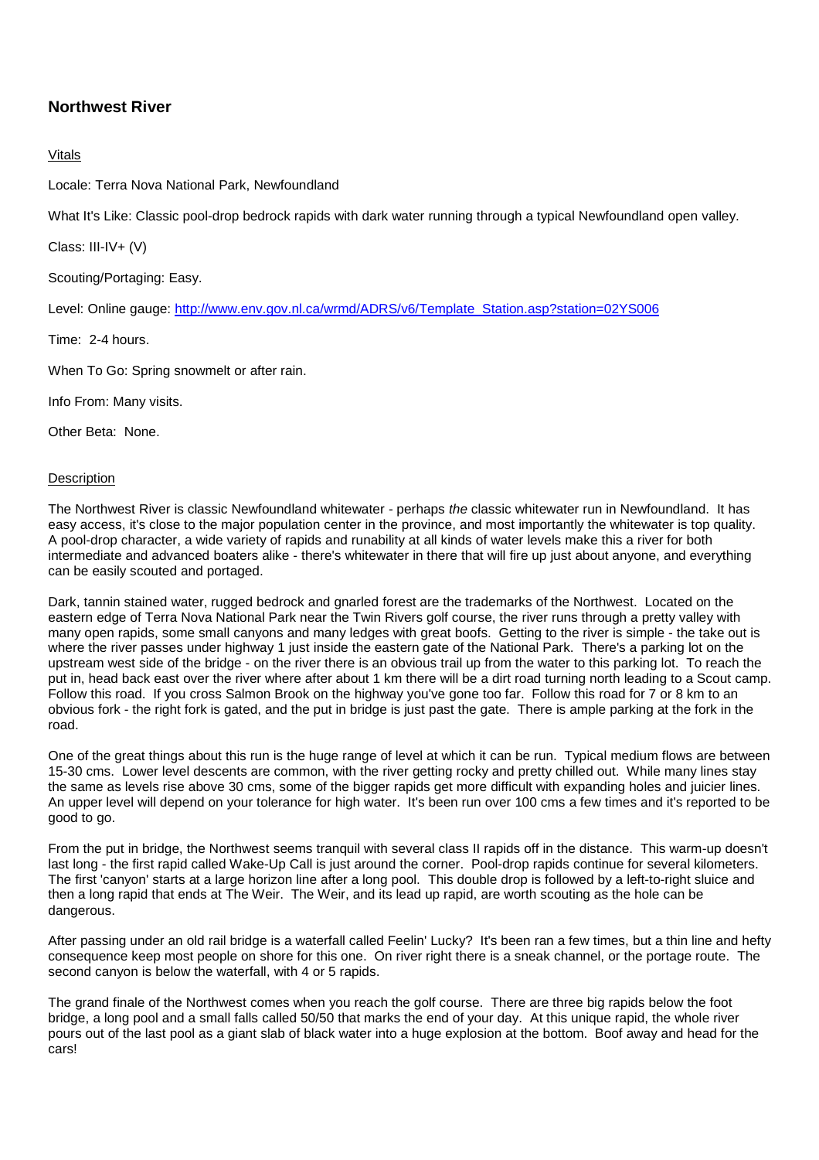## **Northwest River**

## Vitals

Locale: Terra Nova National Park, Newfoundland

What It's Like: Classic pool-drop bedrock rapids with dark water running through a typical Newfoundland open valley.

Class: III-IV+ (V)

Scouting/Portaging: Easy.

Level: Online gauge: http://www.env.gov.nl.ca/wrmd/ADRS/v6/Template\_Station.asp?station=02YS006

Time: 2-4 hours.

When To Go: Spring snowmelt or after rain.

Info From: Many visits.

Other Beta: None.

## **Description**

The Northwest River is classic Newfoundland whitewater - perhaps the classic whitewater run in Newfoundland. It has easy access, it's close to the major population center in the province, and most importantly the whitewater is top quality. A pool-drop character, a wide variety of rapids and runability at all kinds of water levels make this a river for both intermediate and advanced boaters alike - there's whitewater in there that will fire up just about anyone, and everything can be easily scouted and portaged.

Dark, tannin stained water, rugged bedrock and gnarled forest are the trademarks of the Northwest. Located on the eastern edge of Terra Nova National Park near the Twin Rivers golf course, the river runs through a pretty valley with many open rapids, some small canyons and many ledges with great boofs. Getting to the river is simple - the take out is where the river passes under highway 1 just inside the eastern gate of the National Park. There's a parking lot on the upstream west side of the bridge - on the river there is an obvious trail up from the water to this parking lot. To reach the put in, head back east over the river where after about 1 km there will be a dirt road turning north leading to a Scout camp. Follow this road. If you cross Salmon Brook on the highway you've gone too far. Follow this road for 7 or 8 km to an obvious fork - the right fork is gated, and the put in bridge is just past the gate. There is ample parking at the fork in the road.

One of the great things about this run is the huge range of level at which it can be run. Typical medium flows are between 15-30 cms. Lower level descents are common, with the river getting rocky and pretty chilled out. While many lines stay the same as levels rise above 30 cms, some of the bigger rapids get more difficult with expanding holes and juicier lines. An upper level will depend on your tolerance for high water. It's been run over 100 cms a few times and it's reported to be good to go.

From the put in bridge, the Northwest seems tranquil with several class II rapids off in the distance. This warm-up doesn't last long - the first rapid called Wake-Up Call is just around the corner. Pool-drop rapids continue for several kilometers. The first 'canyon' starts at a large horizon line after a long pool. This double drop is followed by a left-to-right sluice and then a long rapid that ends at The Weir. The Weir, and its lead up rapid, are worth scouting as the hole can be dangerous.

After passing under an old rail bridge is a waterfall called Feelin' Lucky? It's been ran a few times, but a thin line and hefty consequence keep most people on shore for this one. On river right there is a sneak channel, or the portage route. The second canyon is below the waterfall, with 4 or 5 rapids.

The grand finale of the Northwest comes when you reach the golf course. There are three big rapids below the foot bridge, a long pool and a small falls called 50/50 that marks the end of your day. At this unique rapid, the whole river pours out of the last pool as a giant slab of black water into a huge explosion at the bottom. Boof away and head for the cars!